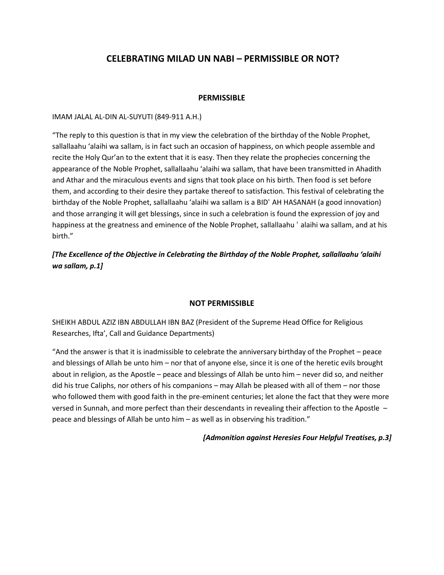# **CELEBRATING MILAD UN NABI – PERMISSIBLE OR NOT?**

### **PERMISSIBLE**

#### IMAM JALAL AL-DIN AL-SUYUTI (849-911 A.H.)

"The reply to this question is that in my view the celebration of the birthday of the Noble Prophet, sallallaahu 'alaihi wa sallam, is in fact such an occasion of happiness, on which people assemble and recite the Holy Qur'an to the extent that it is easy. Then they relate the prophecies concerning the appearance of the Noble Prophet, sallallaahu 'alaihi wa sallam, that have been transmitted in Ahadith and Athar and the miraculous events and signs that took place on his birth. Then food is set before them, and according to their desire they partake thereof to satisfaction. This festival of celebrating the birthday of the Noble Prophet, sallallaahu 'alaihi wa sallam is a BIDʻ AH HASANAH (a good innovation) and those arranging it will get blessings, since in such a celebration is found the expression of joy and happiness at the greatness and eminence of the Noble Prophet, sallallaahu ʻ alaihi wa sallam, and at his birth."

*[The Excellence of the Objective in Celebrating the Birthday of the Noble Prophet, sallallaahu 'alaihi wa sallam, p.1]*

#### **NOT PERMISSIBLE**

SHEIKH ABDUL AZIZ IBN ABDULLAH IBN BAZ (President of the Supreme Head Office for Religious Researches, Ifta', Call and Guidance Departments)

"And the answer is that it is inadmissible to celebrate the anniversary birthday of the Prophet – peace and blessings of Allah be unto him – nor that of anyone else, since it is one of the heretic evils brought about in religion, as the Apostle – peace and blessings of Allah be unto him – never did so, and neither did his true Caliphs, nor others of his companions – may Allah be pleased with all of them – nor those who followed them with good faith in the pre-eminent centuries; let alone the fact that they were more versed in Sunnah, and more perfect than their descendants in revealing their affection to the Apostle – peace and blessings of Allah be unto him – as well as in observing his tradition."

#### *[Admonition against Heresies Four Helpful Treatises, p.3]*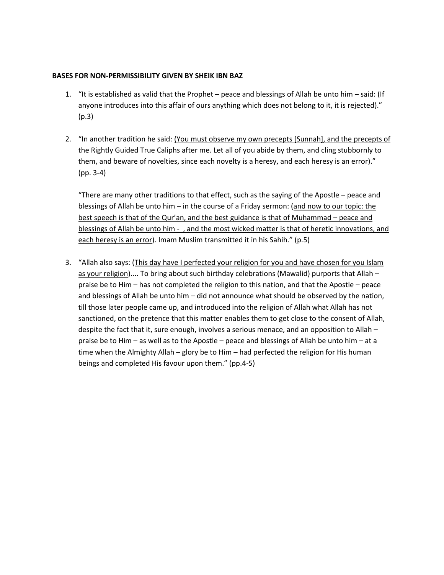### **BASES FOR NON-PERMISSIBILITY GIVEN BY SHEIK IBN BAZ**

- 1. "It is established as valid that the Prophet peace and blessings of Allah be unto him said:  $($ If anyone introduces into this affair of ours anything which does not belong to it, it is rejected)." (p.3)
- 2. "In another tradition he said: (You must observe my own precepts [Sunnah], and the precepts of the Rightly Guided True Caliphs after me. Let all of you abide by them, and cling stubbornly to them, and beware of novelties, since each novelty is a heresy, and each heresy is an error)." (pp. 3-4)

"There are many other traditions to that effect, such as the saying of the Apostle – peace and blessings of Allah be unto him – in the course of a Friday sermon: (and now to our topic: the best speech is that of the Qur'an, and the best guidance is that of Muhammad – peace and blessings of Allah be unto him - , and the most wicked matter is that of heretic innovations, and each heresy is an error). Imam Muslim transmitted it in his Sahih." (p.5)

3. "Allah also says: (This day have I perfected your religion for you and have chosen for you Islam as your religion).... To bring about such birthday celebrations (Mawalid) purports that Allah – praise be to Him – has not completed the religion to this nation, and that the Apostle – peace and blessings of Allah be unto him – did not announce what should be observed by the nation, till those later people came up, and introduced into the religion of Allah what Allah has not sanctioned, on the pretence that this matter enables them to get close to the consent of Allah, despite the fact that it, sure enough, involves a serious menace, and an opposition to Allah – praise be to Him – as well as to the Apostle – peace and blessings of Allah be unto him – at a time when the Almighty Allah – glory be to Him – had perfected the religion for His human beings and completed His favour upon them." (pp.4-5)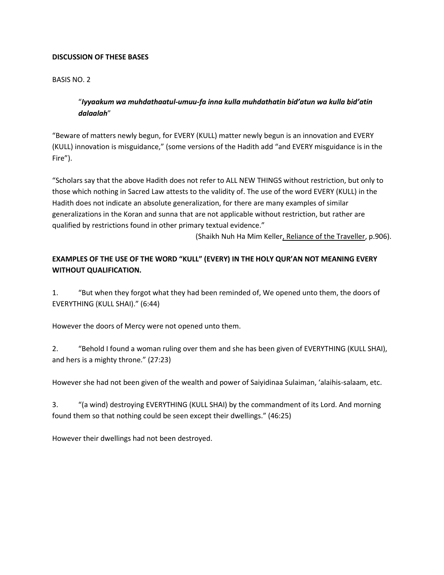### **DISCUSSION OF THESE BASES**

## BASIS NO. 2

# "*Iyyaakum wa muhdathaatul-umuu-fa inna kulla muhdathatin bid'atun wa kulla bid'atin dalaalah*"

"Beware of matters newly begun, for EVERY (KULL) matter newly begun is an innovation and EVERY (KULL) innovation is misguidance," (some versions of the Hadith add "and EVERY misguidance is in the Fire").

"Scholars say that the above Hadith does not refer to ALL NEW THINGS without restriction, but only to those which nothing in Sacred Law attests to the validity of. The use of the word EVERY (KULL) in the Hadith does not indicate an absolute generalization, for there are many examples of similar generalizations in the Koran and sunna that are not applicable without restriction, but rather are qualified by restrictions found in other primary textual evidence."

(Shaikh Nuh Ha Mim Keller, Reliance of the Traveller, p.906).

# **EXAMPLES OF THE USE OF THE WORD "KULL" (EVERY) IN THE HOLY QUR'AN NOT MEANING EVERY WITHOUT QUALIFICATION.**

1. "But when they forgot what they had been reminded of, We opened unto them, the doors of EVERYTHING (KULL SHAI)." (6:44)

However the doors of Mercy were not opened unto them.

2. "Behold I found a woman ruling over them and she has been given of EVERYTHING (KULL SHAI), and hers is a mighty throne." (27:23)

However she had not been given of the wealth and power of Saiyidinaa Sulaiman, 'alaihis-salaam, etc.

3. "(a wind) destroying EVERYTHING (KULL SHAI) by the commandment of its Lord. And morning found them so that nothing could be seen except their dwellings." (46:25)

However their dwellings had not been destroyed.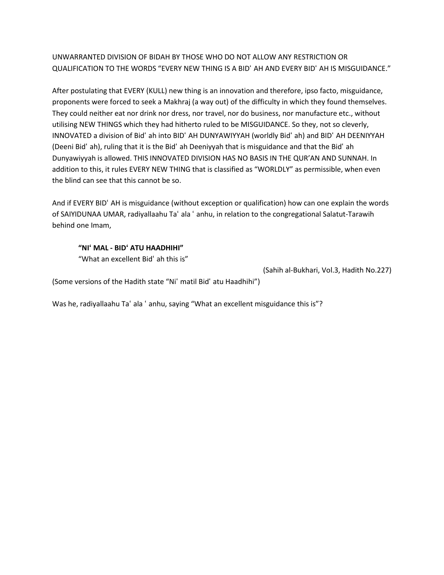UNWARRANTED DIVISION OF BIDAH BY THOSE WHO DO NOT ALLOW ANY RESTRICTION OR QUALIFICATION TO THE WORDS "EVERY NEW THING IS A BIDʻ AH AND EVERY BIDʻ AH IS MISGUIDANCE."

After postulating that EVERY (KULL) new thing is an innovation and therefore, ipso facto, misguidance, proponents were forced to seek a Makhraj (a way out) of the difficulty in which they found themselves. They could neither eat nor drink nor dress, nor travel, nor do business, nor manufacture etc., without utilising NEW THINGS which they had hitherto ruled to be MISGUIDANCE. So they, not so cleverly, INNOVATED a division of Bidʻ ah into BIDʻ AH DUNYAWIYYAH (worldly Bidʻ ah) and BIDʻ AH DEENIYYAH (Deeni Bidʻ ah), ruling that it is the Bidʻ ah Deeniyyah that is misguidance and that the Bidʻ ah Dunyawiyyah is allowed. THIS INNOVATED DIVISION HAS NO BASIS IN THE QUR'AN AND SUNNAH. In addition to this, it rules EVERY NEW THING that is classified as "WORLDLY" as permissible, when even the blind can see that this cannot be so.

And if EVERY BIDʻ AH is misguidance (without exception or qualification) how can one explain the words of SAIYIDUNAA UMAR, radiyallaahu Taʻ ala ʻ anhu, in relation to the congregational Salatut-Tarawih behind one Imam,

#### **"NIʻ MAL - BIDʻ ATU HAADHIHI"**

"What an excellent Bidʻ ah this is"

(Sahih al-Bukhari, Vol.3, Hadith No.227)

(Some versions of the Hadith state "Niʻ matil Bidʻ atu Haadhihi")

Was he, radiyallaahu Taʻ ala ʻ anhu, saying "What an excellent misguidance this is"?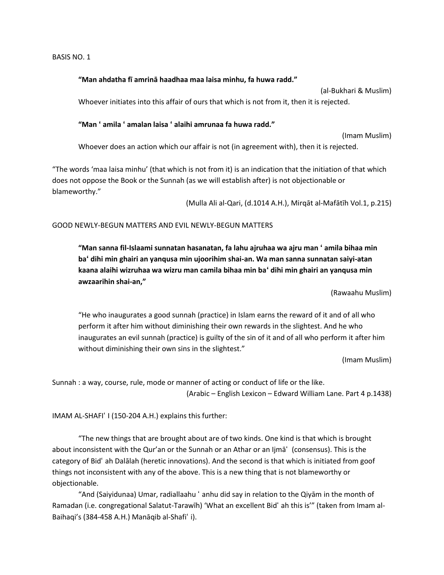#### **"Man ahdatha fī amrinā haadhaa maa laisa minhu, fa huwa radd."**

(al-Bukhari & Muslim) Whoever initiates into this affair of ours that which is not from it, then it is rejected.

#### **"Man ʻ amila ʻ amalan laisa ʻ alaihi amrunaa fa huwa radd."**

(Imam Muslim) Whoever does an action which our affair is not (in agreement with), then it is rejected.

"The words 'maa laisa minhu' (that which is not from it) is an indication that the initiation of that which does not oppose the Book or the Sunnah (as we will establish after) is not objectionable or blameworthy."

(Mulla Ali al-Qari, (d.1014 A.H.), Mirqāt al-Mafātīh Vol.1, p.215)

#### GOOD NEWLY-BEGUN MATTERS AND EVIL NEWLY-BEGUN MATTERS

**"Man sanna fil-Islaami sunnatan hasanatan, fa lahu ajruhaa wa ajru man ʻ amila bihaa min baʻ dihi min ghairi an yanqusa min ujoorihim shai-an. Wa man sanna sunnatan saiyi-atan kaana alaihi wizruhaa wa wizru man camila bihaa min baʻ dihi min ghairi an yanqusa min awzaarihin shai-an,"** 

(Rawaahu Muslim)

"He who inaugurates a good sunnah (practice) in Islam earns the reward of it and of all who perform it after him without diminishing their own rewards in the slightest. And he who inaugurates an evil sunnah (practice) is guilty of the sin of it and of all who perform it after him without diminishing their own sins in the slightest."

(Imam Muslim)

Sunnah : a way, course, rule, mode or manner of acting or conduct of life or the like. (Arabic – English Lexicon – Edward William Lane. Part 4 p.1438)

IMAM AL-SHAFIʻ I (150-204 A.H.) explains this further:

"The new things that are brought about are of two kinds. One kind is that which is brought about inconsistent with the Qur'an or the Sunnah or an Athar or an Ijmāʻ (consensus). This is the category of Bidʻ ah Dalālah (heretic innovations). And the second is that which is initiated from goof things not inconsistent with any of the above. This is a new thing that is not blameworthy or objectionable.

"And (Saiyidunaa) Umar, radiallaahu ʻ anhu did say in relation to the Qiyām in the month of Ramadan (i.e. congregational Salatut-Tarawīh) 'What an excellent Bidʻ ah this is'" (taken from Imam al-Baihaqi's (384-458 A.H.) Manāqib al-Shafiʻ i).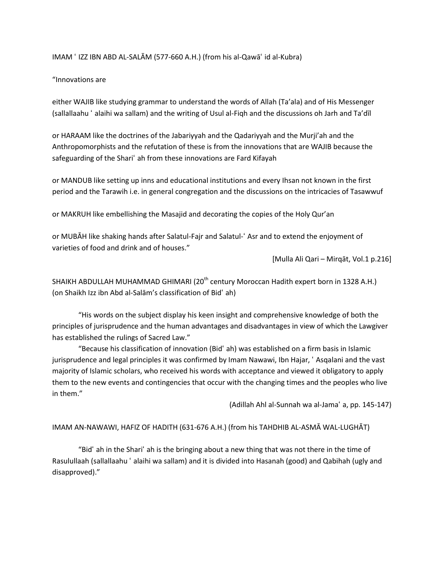#### IMAM ʻ IZZ IBN ABD AL-SALĀM (577-660 A.H.) (from his al-Qawāʻ id al-Kubra)

#### "Innovations are

either WAJIB like studying grammar to understand the words of Allah (Ta'ala) and of His Messenger (sallallaahu ʻ alaihi wa sallam) and the writing of Usul al-Fiqh and the discussions oh Jarh and Ta'dīl

or HARAAM like the doctrines of the Jabariyyah and the Qadariyyah and the Murji'ah and the Anthropomorphists and the refutation of these is from the innovations that are WAJIB because the safeguarding of the Shariʻ ah from these innovations are Fard Kifayah

or MANDUB like setting up inns and educational institutions and every Ihsan not known in the first period and the Tarawih i.e. in general congregation and the discussions on the intricacies of Tasawwuf

or MAKRUH like embellishing the Masajid and decorating the copies of the Holy Qur'an

or MUBĀH like shaking hands after Salatul-Fajr and Salatul-ʻ Asr and to extend the enjoyment of varieties of food and drink and of houses."

[Mulla Ali Qari – Mirqāt, Vol.1 p.216]

SHAIKH ABDULLAH MUHAMMAD GHIMARI (20<sup>th</sup> century Moroccan Hadith expert born in 1328 A.H.) (on Shaikh Izz ibn Abd al-Salām's classification of Bidʻ ah)

"His words on the subject display his keen insight and comprehensive knowledge of both the principles of jurisprudence and the human advantages and disadvantages in view of which the Lawgiver has established the rulings of Sacred Law."

"Because his classification of innovation (Bidʻ ah) was established on a firm basis in Islamic jurisprudence and legal principles it was confirmed by Imam Nawawi, Ibn Hajar, ʻ Asqalani and the vast majority of Islamic scholars, who received his words with acceptance and viewed it obligatory to apply them to the new events and contingencies that occur with the changing times and the peoples who live in them."

(Adillah Ahl al-Sunnah wa al-Jamaʻ a, pp. 145-147)

#### IMAM AN-NAWAWI, HAFIZ OF HADITH (631-676 A.H.) (from his TAHDHIB AL-ASMĀ WAL-LUGHĀT)

"Bidʻ ah in the Shariʻ ah is the bringing about a new thing that was not there in the time of Rasulullaah (sallallaahu ʻ alaihi wa sallam) and it is divided into Hasanah (good) and Qabihah (ugly and disapproved)."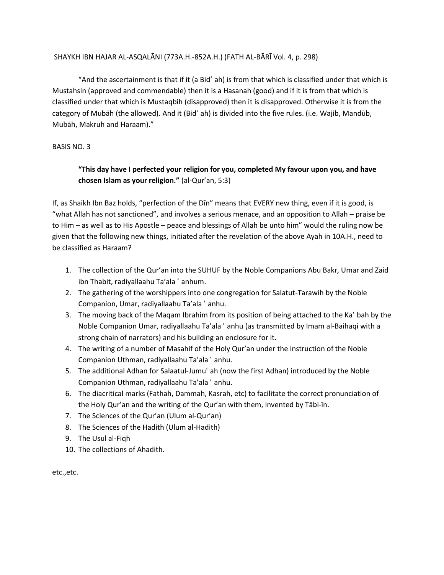#### SHAYKH IBN HAJAR AL-ASQALĀNI (773A.H.-852A.H.) (FATH AL-BĀRĪ Vol. 4, p. 298)

"And the ascertainment is that if it (a Bidʻ ah) is from that which is classified under that which is Mustahsin (approved and commendable) then it is a Hasanah (good) and if it is from that which is classified under that which is Mustaqbih (disapproved) then it is disapproved. Otherwise it is from the category of Mubāh (the allowed). And it (Bidʻ ah) is divided into the five rules. (i.e. Wajib, Mandūb, Mubāh, Makruh and Haraam)."

BASIS NO. 3

## **"This day have I perfected your religion for you, completed My favour upon you, and have chosen Islam as your religion."** (al-Qur'an, 5:3)

If, as Shaikh Ibn Baz holds, "perfection of the Dīn" means that EVERY new thing, even if it is good, is "what Allah has not sanctioned", and involves a serious menace, and an opposition to Allah – praise be to Him – as well as to His Apostle – peace and blessings of Allah be unto him" would the ruling now be given that the following new things, initiated after the revelation of the above Ayah in 10A.H., need to be classified as Haraam?

- 1. The collection of the Qur'an into the SUHUF by the Noble Companions Abu Bakr, Umar and Zaid ibn Thabit, radiyallaahu Ta'ala ʻ anhum.
- 2. The gathering of the worshippers into one congregation for Salatut-Tarawih by the Noble Companion, Umar, radiyallaahu Ta'ala ʻ anhu.
- 3. The moving back of the Maqam Ibrahim from its position of being attached to the Kaʻ bah by the Noble Companion Umar, radiyallaahu Ta'ala ʻ anhu (as transmitted by Imam al-Baihaqi with a strong chain of narrators) and his building an enclosure for it.
- 4. The writing of a number of Masahif of the Holy Qur'an under the instruction of the Noble Companion Uthman, radiyallaahu Ta'ala ʻ anhu.
- 5. The additional Adhan for Salaatul-Jumuʻ ah (now the first Adhan) introduced by the Noble Companion Uthman, radiyallaahu Ta'ala ʻ anhu.
- 6. The diacritical marks (Fathah, Dammah, Kasrah, etc) to facilitate the correct pronunciation of the Holy Qur'an and the writing of the Qur'an with them, invented by Tābi-īn.
- 7. The Sciences of the Qur'an (Ulum al-Qur'an)
- 8. The Sciences of the Hadith (Ulum al-Hadith)
- 9. The Usul al-Fiqh
- 10. The collections of Ahadith.

etc.,etc.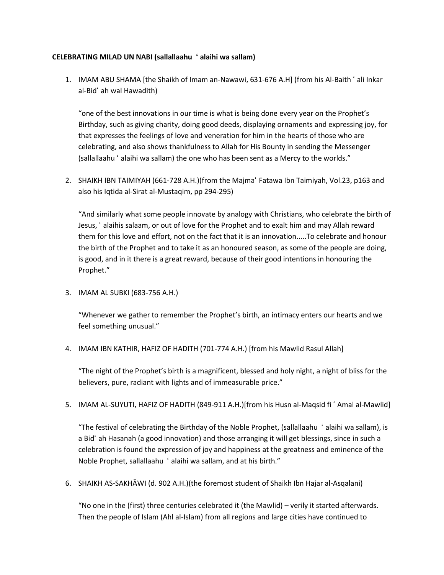#### **CELEBRATING MILAD UN NABI (sallallaahu ʻ alaihi wa sallam)**

1. IMAM ABU SHAMA [the Shaikh of Imam an-Nawawi, 631-676 A.H] (from his Al-Baith ʻ ali Inkar al-Bidʻ ah wal Hawadith)

"one of the best innovations in our time is what is being done every year on the Prophet's Birthday, such as giving charity, doing good deeds, displaying ornaments and expressing joy, for that expresses the feelings of love and veneration for him in the hearts of those who are celebrating, and also shows thankfulness to Allah for His Bounty in sending the Messenger (sallallaahu ʻ alaihi wa sallam) the one who has been sent as a Mercy to the worlds."

2. SHAIKH IBN TAIMIYAH (661-728 A.H.)(from the Majmaʻ Fatawa Ibn Taimiyah, Vol.23, p163 and also his Iqtida al-Sirat al-Mustaqim, pp 294-295)

"And similarly what some people innovate by analogy with Christians, who celebrate the birth of Jesus, ʻ alaihis salaam, or out of love for the Prophet and to exalt him and may Allah reward them for this love and effort, not on the fact that it is an innovation.....To celebrate and honour the birth of the Prophet and to take it as an honoured season, as some of the people are doing, is good, and in it there is a great reward, because of their good intentions in honouring the Prophet."

3. IMAM AL SUBKI (683-756 A.H.)

"Whenever we gather to remember the Prophet's birth, an intimacy enters our hearts and we feel something unusual."

4. IMAM IBN KATHIR, HAFIZ OF HADITH (701-774 A.H.) [from his Mawlid Rasul Allah]

"The night of the Prophet's birth is a magnificent, blessed and holy night, a night of bliss for the believers, pure, radiant with lights and of immeasurable price."

5. IMAM AL-SUYUTI, HAFIZ OF HADITH (849-911 A.H.)[from his Husn al-Maqsid fi ʻ Amal al-Mawlid]

"The festival of celebrating the Birthday of the Noble Prophet, (sallallaahu ʻ alaihi wa sallam), is a Bidʻ ah Hasanah (a good innovation) and those arranging it will get blessings, since in such a celebration is found the expression of joy and happiness at the greatness and eminence of the Noble Prophet, sallallaahu ʻ alaihi wa sallam, and at his birth."

6. SHAIKH AS-SAKHĀWI (d. 902 A.H.)(the foremost student of Shaikh Ibn Hajar al-Asqalani)

"No one in the (first) three centuries celebrated it (the Mawlid) – verily it started afterwards. Then the people of Islam (Ahl al-Islam) from all regions and large cities have continued to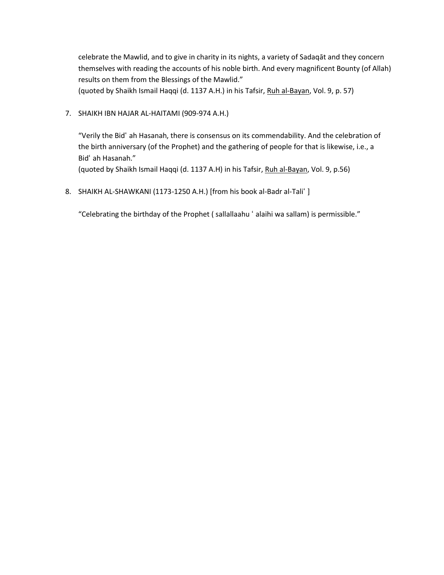celebrate the Mawlid, and to give in charity in its nights, a variety of Sadaqāt and they concern themselves with reading the accounts of his noble birth. And every magnificent Bounty (of Allah) results on them from the Blessings of the Mawlid."

(quoted by Shaikh Ismail Haqqi (d. 1137 A.H.) in his Tafsir, Ruh al-Bayan, Vol. 9, p. 57)

7. SHAIKH IBN HAJAR AL-HAITAMI (909-974 A.H.)

"Verily the Bidʻ ah Hasanah, there is consensus on its commendability. And the celebration of the birth anniversary (of the Prophet) and the gathering of people for that is likewise, i.e., a Bidʻ ah Hasanah."

(quoted by Shaikh Ismail Haqqi (d. 1137 A.H) in his Tafsir, Ruh al-Bayan, Vol. 9, p.56)

8. SHAIKH AL-SHAWKANI (1173-1250 A.H.) [from his book al-Badr al-Taliʻ ]

"Celebrating the birthday of the Prophet ( sallallaahu ʻ alaihi wa sallam) is permissible."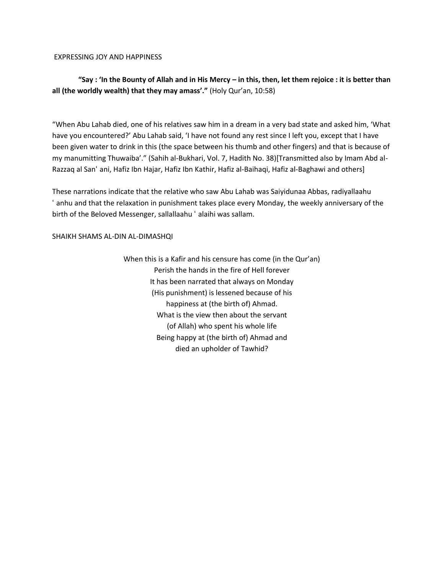EXPRESSING JOY AND HAPPINESS

# **"Say : 'In the Bounty of Allah and in His Mercy – in this, then, let them rejoice : it is better than all (the worldly wealth) that they may amass'."** (Holy Qur'an, 10:58)

"When Abu Lahab died, one of his relatives saw him in a dream in a very bad state and asked him, 'What have you encountered?' Abu Lahab said, 'I have not found any rest since I left you, except that I have been given water to drink in this (the space between his thumb and other fingers) and that is because of my manumitting Thuwaiba'." (Sahih al-Bukhari, Vol. 7, Hadith No. 38)[Transmitted also by Imam Abd al-Razzaq al Sanʻ ani, Hafiz Ibn Hajar, Hafiz Ibn Kathir, Hafiz al-Baihaqi, Hafiz al-Baghawi and others]

These narrations indicate that the relative who saw Abu Lahab was Saiyidunaa Abbas, radiyallaahu ʻ anhu and that the relaxation in punishment takes place every Monday, the weekly anniversary of the birth of the Beloved Messenger, sallallaahu ʻ alaihi was sallam.

#### SHAIKH SHAMS AL-DIN AL-DIMASHQI

When this is a Kafir and his censure has come (in the Qur'an) Perish the hands in the fire of Hell forever It has been narrated that always on Monday (His punishment) is lessened because of his happiness at (the birth of) Ahmad. What is the view then about the servant (of Allah) who spent his whole life Being happy at (the birth of) Ahmad and died an upholder of Tawhid?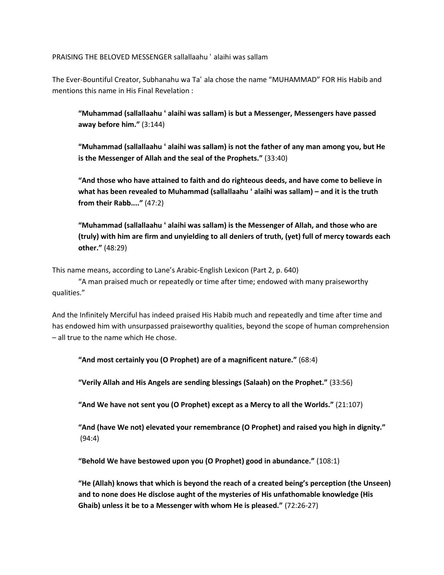PRAISING THE BELOVED MESSENGER sallallaahu ʻ alaihi was sallam

The Ever-Bountiful Creator, Subhanahu wa Taʻ ala chose the name "MUHAMMAD" FOR His Habib and mentions this name in His Final Revelation :

**"Muhammad (sallallaahu ʻ alaihi was sallam) is but a Messenger, Messengers have passed away before him."** (3:144)

**"Muhammad (sallallaahu ʻ alaihi was sallam) is not the father of any man among you, but He is the Messenger of Allah and the seal of the Prophets."** (33:40)

**"And those who have attained to faith and do righteous deeds, and have come to believe in what has been revealed to Muhammad (sallallaahu ʻ alaihi was sallam) – and it is the truth from their Rabb...."** (47:2)

**"Muhammad (sallallaahu ʻ alaihi was sallam) is the Messenger of Allah, and those who are (truly) with him are firm and unyielding to all deniers of truth, (yet) full of mercy towards each other."** (48:29)

This name means, according to Lane's Arabic-English Lexicon (Part 2, p. 640)

"A man praised much or repeatedly or time after time; endowed with many praiseworthy qualities."

And the Infinitely Merciful has indeed praised His Habib much and repeatedly and time after time and has endowed him with unsurpassed praiseworthy qualities, beyond the scope of human comprehension – all true to the name which He chose.

**"And most certainly you (O Prophet) are of a magnificent nature."** (68:4)

**"Verily Allah and His Angels are sending blessings (Salaah) on the Prophet."** (33:56)

**"And We have not sent you (O Prophet) except as a Mercy to all the Worlds."** (21:107)

**"And (have We not) elevated your remembrance (O Prophet) and raised you high in dignity."** (94:4)

**"Behold We have bestowed upon you (O Prophet) good in abundance."** (108:1)

**"He (Allah) knows that which is beyond the reach of a created being's perception (the Unseen) and to none does He disclose aught of the mysteries of His unfathomable knowledge (His Ghaib) unless it be to a Messenger with whom He is pleased."** (72:26-27)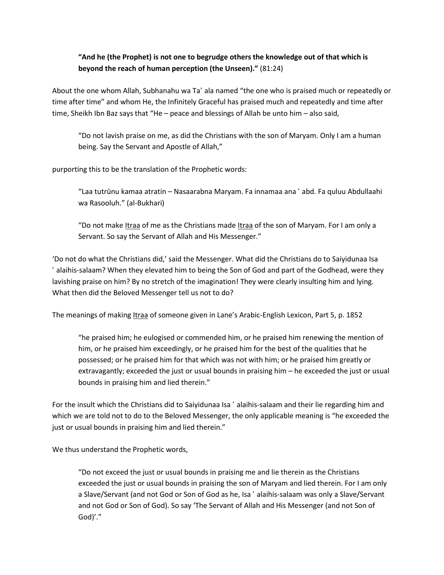## **"And he (the Prophet) is not one to begrudge others the knowledge out of that which is beyond the reach of human perception (the Unseen)."** (81:24)

About the one whom Allah, Subhanahu wa Taʻ ala named "the one who is praised much or repeatedly or time after time" and whom He, the Infinitely Graceful has praised much and repeatedly and time after time, Sheikh Ibn Baz says that "He – peace and blessings of Allah be unto him – also said,

"Do not lavish praise on me, as did the Christians with the son of Maryam. Only I am a human being. Say the Servant and Apostle of Allah,"

purporting this to be the translation of the Prophetic words:

"Laa tutrūnu kamaa atratin – Nasaarabna Maryam. Fa innamaa ana ʻ abd. Fa quluu Abdullaahi wa Rasooluh." (al-Bukhari)

"Do not make Itraa of me as the Christians made Itraa of the son of Maryam. For I am only a Servant. So say the Servant of Allah and His Messenger."

'Do not do what the Christians did,' said the Messenger. What did the Christians do to Saiyidunaa Isa ʻ alaihis-salaam? When they elevated him to being the Son of God and part of the Godhead, were they lavishing praise on him? By no stretch of the imagination! They were clearly insulting him and lying. What then did the Beloved Messenger tell us not to do?

The meanings of making Itraa of someone given in Lane's Arabic-English Lexicon, Part 5, p. 1852

"he praised him; he eulogised or commended him, or he praised him renewing the mention of him, or he praised him exceedingly, or he praised him for the best of the qualities that he possessed; or he praised him for that which was not with him; or he praised him greatly or extravagantly; exceeded the just or usual bounds in praising him – he exceeded the just or usual bounds in praising him and lied therein."

For the insult which the Christians did to Saiyidunaa Isa ʻ alaihis-salaam and their lie regarding him and which we are told not to do to the Beloved Messenger, the only applicable meaning is "he exceeded the just or usual bounds in praising him and lied therein."

We thus understand the Prophetic words,

"Do not exceed the just or usual bounds in praising me and lie therein as the Christians exceeded the just or usual bounds in praising the son of Maryam and lied therein. For I am only a Slave/Servant (and not God or Son of God as he, Isa ʻ alaihis-salaam was only a Slave/Servant and not God or Son of God). So say 'The Servant of Allah and His Messenger (and not Son of God)'."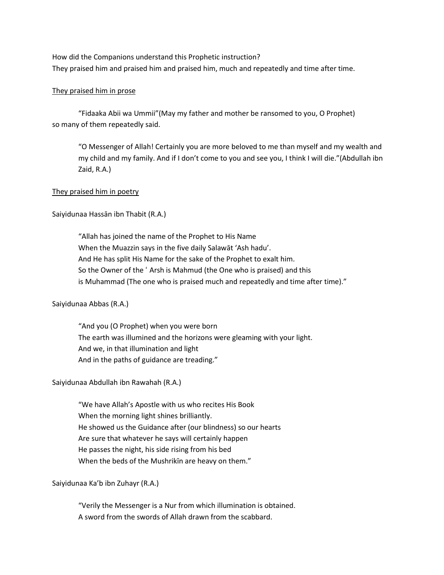How did the Companions understand this Prophetic instruction? They praised him and praised him and praised him, much and repeatedly and time after time.

#### They praised him in prose

"Fidaaka Abii wa Ummii"(May my father and mother be ransomed to you, O Prophet) so many of them repeatedly said.

"O Messenger of Allah! Certainly you are more beloved to me than myself and my wealth and my child and my family. And if I don't come to you and see you, I think I will die."(Abdullah ibn Zaid, R.A.)

#### They praised him in poetry

Saiyidunaa Hassān ibn Thabit (R.A.)

"Allah has joined the name of the Prophet to His Name When the Muazzin says in the five daily Salawāt 'Ash hadu'. And He has split His Name for the sake of the Prophet to exalt him. So the Owner of the ʻ Arsh is Mahmud (the One who is praised) and this is Muhammad (The one who is praised much and repeatedly and time after time)."

#### Saiyidunaa Abbas (R.A.)

"And you (O Prophet) when you were born The earth was illumined and the horizons were gleaming with your light. And we, in that illumination and light And in the paths of guidance are treading."

Saiyidunaa Abdullah ibn Rawahah (R.A.)

"We have Allah's Apostle with us who recites His Book When the morning light shines brilliantly. He showed us the Guidance after (our blindness) so our hearts Are sure that whatever he says will certainly happen He passes the night, his side rising from his bed When the beds of the Mushrikīn are heavy on them."

#### Saiyidunaa Ka'b ibn Zuhayr (R.A.)

"Verily the Messenger is a Nur from which illumination is obtained. A sword from the swords of Allah drawn from the scabbard.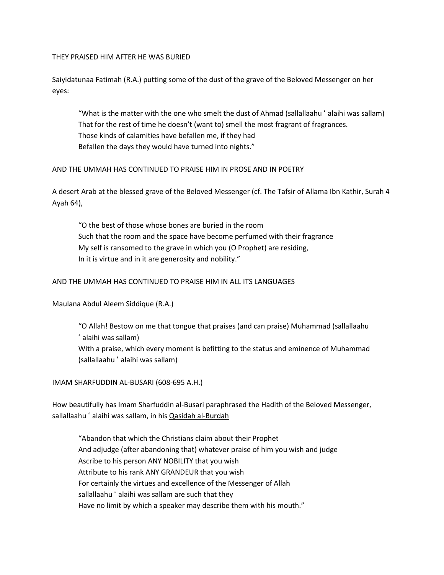#### THEY PRAISED HIM AFTER HE WAS BURIED

Saiyidatunaa Fatimah (R.A.) putting some of the dust of the grave of the Beloved Messenger on her eyes:

"What is the matter with the one who smelt the dust of Ahmad (sallallaahu ʻ alaihi was sallam) That for the rest of time he doesn't (want to) smell the most fragrant of fragrances. Those kinds of calamities have befallen me, if they had Befallen the days they would have turned into nights."

#### AND THE UMMAH HAS CONTINUED TO PRAISE HIM IN PROSE AND IN POETRY

A desert Arab at the blessed grave of the Beloved Messenger (cf. The Tafsir of Allama Ibn Kathir, Surah 4 Ayah 64),

"O the best of those whose bones are buried in the room Such that the room and the space have become perfumed with their fragrance My self is ransomed to the grave in which you (O Prophet) are residing, In it is virtue and in it are generosity and nobility."

#### AND THE UMMAH HAS CONTINUED TO PRAISE HIM IN ALL ITS LANGUAGES

Maulana Abdul Aleem Siddique (R.A.)

"O Allah! Bestow on me that tongue that praises (and can praise) Muhammad (sallallaahu ʻ alaihi was sallam) With a praise, which every moment is befitting to the status and eminence of Muhammad (sallallaahu ʻ alaihi was sallam)

IMAM SHARFUDDIN AL-BUSARI (608-695 A.H.)

How beautifully has Imam Sharfuddin al-Busari paraphrased the Hadith of the Beloved Messenger, sallallaahu ' alaihi was sallam, in his Qasidah al-Burdah

"Abandon that which the Christians claim about their Prophet And adjudge (after abandoning that) whatever praise of him you wish and judge Ascribe to his person ANY NOBILITY that you wish Attribute to his rank ANY GRANDEUR that you wish For certainly the virtues and excellence of the Messenger of Allah sallallaahu ʻ alaihi was sallam are such that they Have no limit by which a speaker may describe them with his mouth."